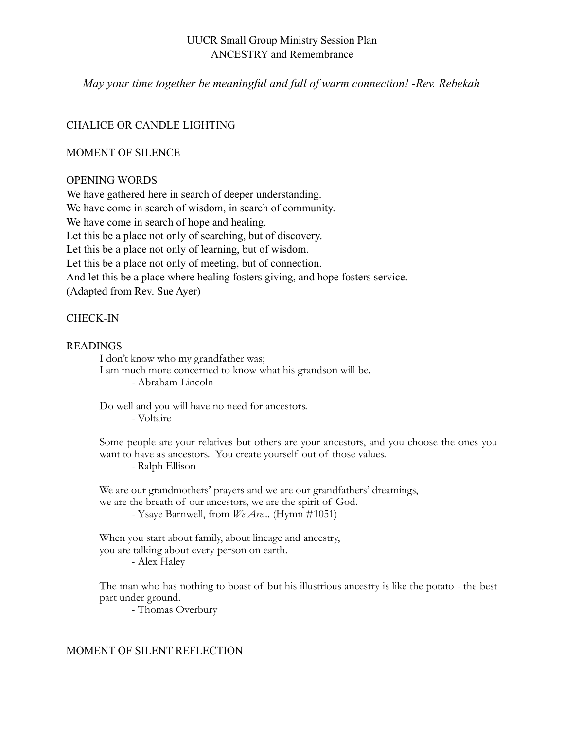## UUCR Small Group Ministry Session Plan ANCESTRY and Remembrance

*May your time together be meaningful and full of warm connection! -Rev. Rebekah* 

# CHALICE OR CANDLE LIGHTING

## MOMENT OF SILENCE

## OPENING WORDS

We have gathered here in search of deeper understanding. We have come in search of wisdom, in search of community. We have come in search of hope and healing. Let this be a place not only of searching, but of discovery. Let this be a place not only of learning, but of wisdom. Let this be a place not only of meeting, but of connection. And let this be a place where healing fosters giving, and hope fosters service. (Adapted from Rev. Sue Ayer)

# CHECK-IN

### READINGS

I don't know who my grandfather was; I am much more concerned to know what his grandson will be. - Abraham Lincoln

Do well and you will have no need for ancestors. - Voltaire

Some people are your relatives but others are your ancestors, and you choose the ones you want to have as ancestors. You create yourself out of those values. - Ralph Ellison

We are our grandmothers' prayers and we are our grandfathers' dreamings, we are the breath of our ancestors, we are the spirit of God. - Ysaye Barnwell, from *We Are...* (Hymn #1051)

When you start about family, about lineage and ancestry, you are talking about every person on earth. - Alex Haley

The man who has nothing to boast of but his illustrious ancestry is like the potato - the best part under ground.

- Thomas Overbury

## MOMENT OF SILENT REFLECTION